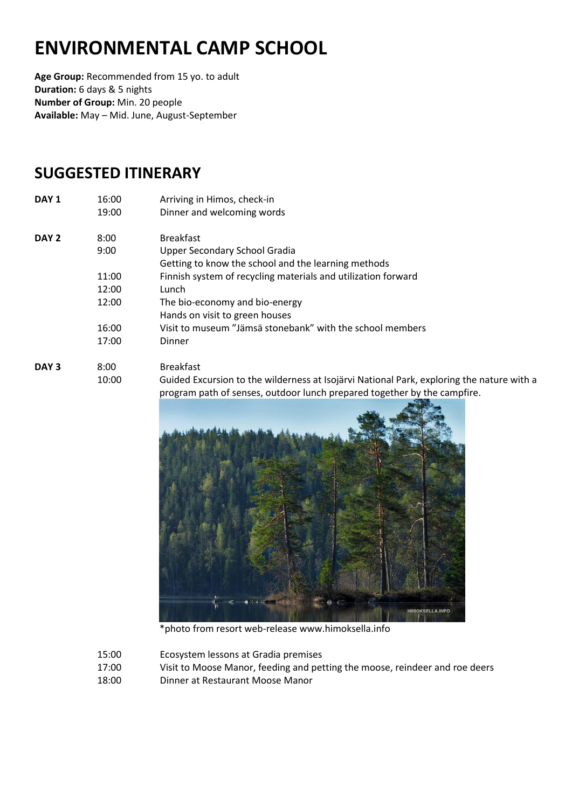# **ENVIRONMENTAL CAMP SCHOOL**

**Age Group:** Recommended from 15 yo. to adult **Duration:** 6 days & 5 nights **Number of Group:** Min. 20 people **Available:** May – Mid. June, August-September

## **SUGGESTED ITINERARY**

| 16:00 | Arriving in Himos, check-in                                   |
|-------|---------------------------------------------------------------|
| 19:00 | Dinner and welcoming words                                    |
| 8:00  | <b>Breakfast</b>                                              |
| 9:00  | Upper Secondary School Gradia                                 |
|       | Getting to know the school and the learning methods           |
| 11:00 | Finnish system of recycling materials and utilization forward |
| 12:00 | Lunch                                                         |
| 12:00 | The bio-economy and bio-energy                                |
|       | Hands on visit to green houses                                |
| 16:00 | Visit to museum "Jämsä stonebank" with the school members     |
| 17:00 | Dinner                                                        |
|       |                                                               |
|       |                                                               |

**DAY 3** 8:00 Breakfast 10:00 Guided Excursion to the wilderness at Isojärvi National Park, exploring the nature with a program path of senses, outdoor lunch prepared together by the campfire.



\*photo from resort web-release www.himoksella.info

- 15:00 Ecosystem lessons at Gradia premises
- 17:00 Visit to Moose Manor, feeding and petting the moose, reindeer and roe deers
- 18:00 Dinner at Restaurant Moose Manor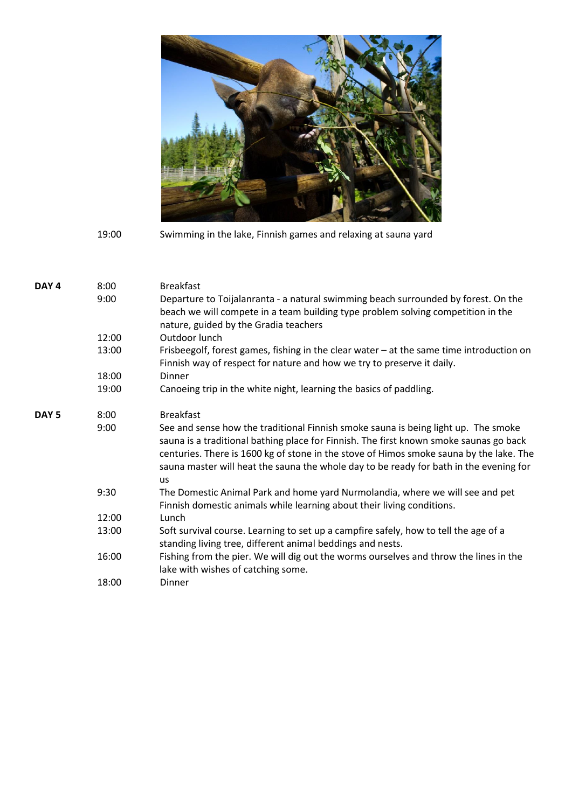

19:00 Swimming in the lake, Finnish games and relaxing at sauna yard

| DAY <sub>4</sub> | 8:00  | <b>Breakfast</b>                                                                                                                                                                                                                                                                                                                                                               |
|------------------|-------|--------------------------------------------------------------------------------------------------------------------------------------------------------------------------------------------------------------------------------------------------------------------------------------------------------------------------------------------------------------------------------|
|                  | 9:00  | Departure to Toijalanranta - a natural swimming beach surrounded by forest. On the<br>beach we will compete in a team building type problem solving competition in the<br>nature, guided by the Gradia teachers                                                                                                                                                                |
|                  | 12:00 | Outdoor lunch                                                                                                                                                                                                                                                                                                                                                                  |
|                  | 13:00 | Frisbeegolf, forest games, fishing in the clear water - at the same time introduction on<br>Finnish way of respect for nature and how we try to preserve it daily.                                                                                                                                                                                                             |
|                  | 18:00 | Dinner                                                                                                                                                                                                                                                                                                                                                                         |
|                  | 19:00 | Canoeing trip in the white night, learning the basics of paddling.                                                                                                                                                                                                                                                                                                             |
| DAY <sub>5</sub> | 8:00  | <b>Breakfast</b>                                                                                                                                                                                                                                                                                                                                                               |
|                  | 9:00  | See and sense how the traditional Finnish smoke sauna is being light up. The smoke<br>sauna is a traditional bathing place for Finnish. The first known smoke saunas go back<br>centuries. There is 1600 kg of stone in the stove of Himos smoke sauna by the lake. The<br>sauna master will heat the sauna the whole day to be ready for bath in the evening for<br><b>us</b> |
|                  | 9:30  | The Domestic Animal Park and home yard Nurmolandia, where we will see and pet<br>Finnish domestic animals while learning about their living conditions.                                                                                                                                                                                                                        |
|                  | 12:00 | Lunch                                                                                                                                                                                                                                                                                                                                                                          |
|                  | 13:00 | Soft survival course. Learning to set up a campfire safely, how to tell the age of a<br>standing living tree, different animal beddings and nests.                                                                                                                                                                                                                             |
|                  | 16:00 | Fishing from the pier. We will dig out the worms ourselves and throw the lines in the<br>lake with wishes of catching some.                                                                                                                                                                                                                                                    |
|                  | 18:00 | Dinner                                                                                                                                                                                                                                                                                                                                                                         |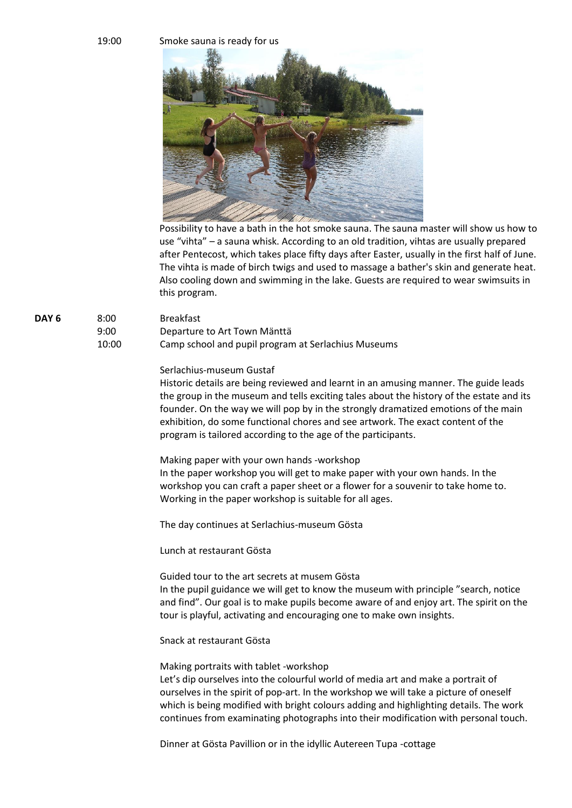#### 19:00 Smoke sauna is ready for us



Possibility to have a bath in the hot smoke sauna. The sauna master will show us how to use "vihta" – a sauna whisk. According to an old tradition, vihtas are usually prepared after Pentecost, which takes place fifty days after Easter, usually in the first half of June. The vihta is made of birch twigs and used to massage a bather's skin and generate heat. Also cooling down and swimming in the lake. Guests are required to wear swimsuits in this program.

DAY 6 8:00 Breakfast

9:00 Departure to Art Town Mänttä

10:00 Camp school and pupil program at Serlachius Museums

#### Serlachius-museum Gustaf

Historic details are being reviewed and learnt in an amusing manner. The guide leads the group in the museum and tells exciting tales about the history of the estate and its founder. On the way we will pop by in the strongly dramatized emotions of the main exhibition, do some functional chores and see artwork. The exact content of the program is tailored according to the age of the participants.

Making paper with your own hands -workshop In the paper workshop you will get to make paper with your own hands. In the workshop you can craft a paper sheet or a flower for a souvenir to take home to. Working in the paper workshop is suitable for all ages.

The day continues at Serlachius-museum Gösta

Lunch at restaurant Gösta

Guided tour to the art secrets at musem Gösta In the pupil guidance we will get to know the museum with principle "search, notice and find". Our goal is to make pupils become aware of and enjoy art. The spirit on the tour is playful, activating and encouraging one to make own insights.

Snack at restaurant Gösta

Making portraits with tablet -workshop

Let's dip ourselves into the colourful world of media art and make a portrait of ourselves in the spirit of pop-art. In the workshop we will take a picture of oneself which is being modified with bright colours adding and highlighting details. The work continues from examinating photographs into their modification with personal touch.

Dinner at Gösta Pavillion or in the idyllic Autereen Tupa -cottage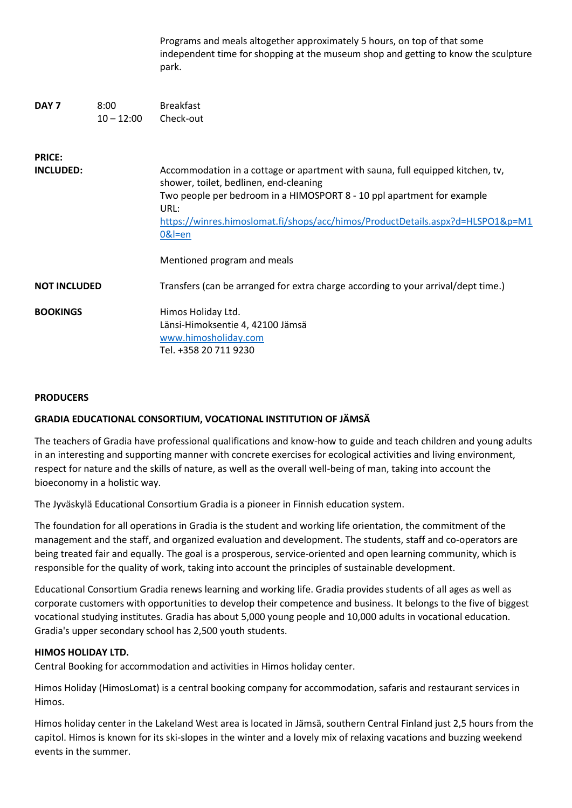|                                   |                      | Programs and meals altogether approximately 5 hours, on top of that some<br>independent time for shopping at the museum shop and getting to know the sculpture<br>park.                                                                                                                                                                 |
|-----------------------------------|----------------------|-----------------------------------------------------------------------------------------------------------------------------------------------------------------------------------------------------------------------------------------------------------------------------------------------------------------------------------------|
| DAY <sub>7</sub>                  | 8:00<br>$10 - 12:00$ | <b>Breakfast</b><br>Check-out                                                                                                                                                                                                                                                                                                           |
| <b>PRICE:</b><br><b>INCLUDED:</b> |                      | Accommodation in a cottage or apartment with sauna, full equipped kitchen, tv,<br>shower, toilet, bedlinen, end-cleaning<br>Two people per bedroom in a HIMOSPORT 8 - 10 ppl apartment for example<br>URL:<br>https://winres.himoslomat.fi/shops/acc/himos/ProductDetails.aspx?d=HLSPO1&p=M1<br>$0&$ =en<br>Mentioned program and meals |
| <b>NOT INCLUDED</b>               |                      | Transfers (can be arranged for extra charge according to your arrival/dept time.)                                                                                                                                                                                                                                                       |
| <b>BOOKINGS</b>                   |                      | Himos Holiday Ltd.<br>Länsi-Himoksentie 4, 42100 Jämsä<br>www.himosholiday.com<br>Tel. +358 20 711 9230                                                                                                                                                                                                                                 |

#### **PRODUCERS**

### **GRADIA EDUCATIONAL CONSORTIUM, VOCATIONAL INSTITUTION OF JÄMSÄ**

The teachers of Gradia have professional qualifications and know-how to guide and teach children and young adults in an interesting and supporting manner with concrete exercises for ecological activities and living environment, respect for nature and the skills of nature, as well as the overall well-being of man, taking into account the bioeconomy in a holistic way.

The Jyväskylä Educational Consortium Gradia is a pioneer in Finnish education system.

The foundation for all operations in Gradia is the student and working life orientation, the commitment of the management and the staff, and organized evaluation and development. The students, staff and co-operators are being treated fair and equally. The goal is a prosperous, service-oriented and open learning community, which is responsible for the quality of work, taking into account the principles of sustainable development.

Educational Consortium Gradia renews learning and working life. Gradia provides students of all ages as well as corporate customers with opportunities to develop their competence and business. It belongs to the five of biggest vocational studying institutes. Gradia has about 5,000 young people and 10,000 adults in vocational education. Gradia's upper secondary school has 2,500 youth students.

#### **HIMOS HOLIDAY LTD.**

Central Booking for accommodation and activities in Himos holiday center.

Himos Holiday (HimosLomat) is a central booking company for accommodation, safaris and restaurant services in Himos.

Himos holiday center in the Lakeland West area is located in Jämsä, southern Central Finland just 2,5 hours from the capitol. Himos is known for its ski-slopes in the winter and a lovely mix of relaxing vacations and buzzing weekend events in the summer.